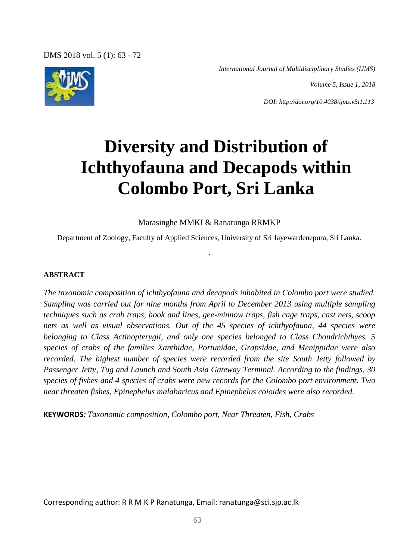IJMS 2018 vol. 5 (1): 63 - 72

*International Journal of Multidisciplinary Studies (IJMS)*

*Volume 5, Issue 1, 2018*

*DOI: http://doi.org/10.4038/ijms.v5i1.113*

# **Diversity and Distribution of Ichthyofauna and Decapods within Colombo Port, Sri Lanka**

Marasinghe MMKI & Ranatunga RRMKP

Department of Zoology, Faculty of Applied Sciences, University of Sri Jayewardenepura, Sri Lanka.

.

# **ABSTRACT**

*The taxonomic composition of ichthyofauna and decapods inhabited in Colombo port were studied. Sampling was carried out for nine months from April to December 2013 using multiple sampling techniques such as crab traps, hook and lines, gee-minnow traps, fish cage traps, cast nets, scoop nets as well as visual observations. Out of the 45 species of ichthyofauna, 44 species were belonging to Class Actinopterygii, and only one species belonged to Class Chondrichthyes. 5 species of crabs of the families Xanthidae, Portunidae, Grapsidae, and Menippidae were also recorded. The highest number of species were recorded from the site South Jetty followed by Passenger Jetty, Tug and Launch and South Asia Gateway Terminal. According to the findings, 30 species of fishes and 4 species of crabs were new records for the Colombo port environment. Two near threaten fishes, Epinephelus malabaricus and Epinephelus coioides were also recorded.* 

**KEYWORDS***: Taxonomic composition, Colombo port, Near Threaten, Fish, Crabs*

Corresponding author: R R M K P Ranatunga, Email: ranatunga@sci.sjp.ac.lk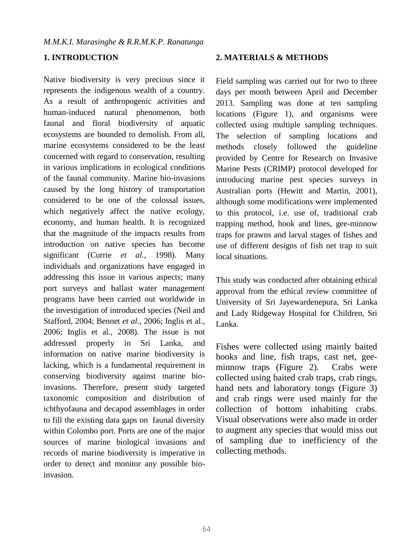# **1. INTRODUCTION**

Native biodiversity is very precious since it represents the indigenous wealth of a country. As a result of anthropogenic activities and human-induced natural phenomenon, both faunal and floral biodiversity of aquatic ecosystems are bounded to demolish. From all, marine ecosystems considered to be the least concerned with regard to conservation, resulting in various implications in ecological conditions of the faunal community. Marine bio-invasions caused by the long history of transportation considered to be one of the colossal issues, which negatively affect the native ecology, economy, and human health. It is recognized that the magnitude of the impacts results from introduction on native species has become significant (Currie *et al.*, 1998). Many individuals and organizations have engaged in addressing this issue in various aspects; many port surveys and ballast water management programs have been carried out worldwide in the investigation of introduced species (Neil and Stafford, 2004; Bennet *et al*., 2006; Inglis et al., 2006; Inglis et al., 2008). The issue is not addressed properly in Sri Lanka, and information on native marine biodiversity is lacking, which is a fundamental requirement in conserving biodiversity against marine bioinvasions. Therefore, present study targeted taxonomic composition and distribution of ichthyofauna and decapod assemblages in order to fill the existing data gaps on faunal diversity within Colombo port. Ports are one of the major sources of marine biological invasions and records of marine biodiversity is imperative in order to detect and monitor any possible bioinvasion.

#### **2. MATERIALS & METHODS**

Field sampling was carried out for two to three days per month between April and December 2013. Sampling was done at ten sampling locations (Figure 1), and organisms were collected using multiple sampling techniques. The selection of sampling locations and methods closely followed the guideline provided by Centre for Research on Invasive Marine Pests (CRIMP) protocol developed for introducing marine pest species surveys in Australian ports (Hewitt and Martin, 2001), although some modifications were implemented to this protocol, i.e. use of, traditional crab trapping method, hook and lines, gee-minnow traps for prawns and larval stages of fishes and use of different designs of fish net trap to suit local situations.

This study was conducted after obtaining ethical approval from the ethical review committee of University of Sri Jayewardenepura, Sri Lanka and Lady Ridgeway Hospital for Children, Sri Lanka.

Fishes were collected using mainly baited hooks and line, fish traps, cast net, geeminnow traps (Figure 2). Crabs were collected using baited crab traps, crab rings, hand nets and laboratory tongs (Figure 3) and crab rings were used mainly for the collection of bottom inhabiting crabs. Visual observations were also made in order to augment any species that would miss out of sampling due to inefficiency of the collecting methods.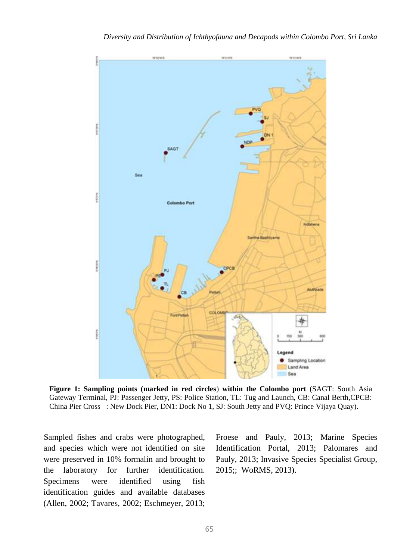

**Figure 1: Sampling points (marked in red circles**) **within the Colombo port** (SAGT: South Asia Gateway Terminal, PJ: Passenger Jetty, PS: Police Station, TL: Tug and Launch, CB: Canal Berth,CPCB: China Pier Cross : New Dock Pier, DN1: Dock No 1, SJ: South Jetty and PVQ: Prince Vijaya Quay).

Sampled fishes and crabs were photographed, and species which were not identified on site were preserved in 10% formalin and brought to the laboratory for further identification. Specimens were identified using fish identification guides and available databases (Allen, 2002; Tavares, 2002; Eschmeyer, 2013; Froese and Pauly, 2013; Marine Species Identification Portal, 2013; Palomares and Pauly, 2013; Invasive Species Specialist Group, 2015;; WoRMS, 2013).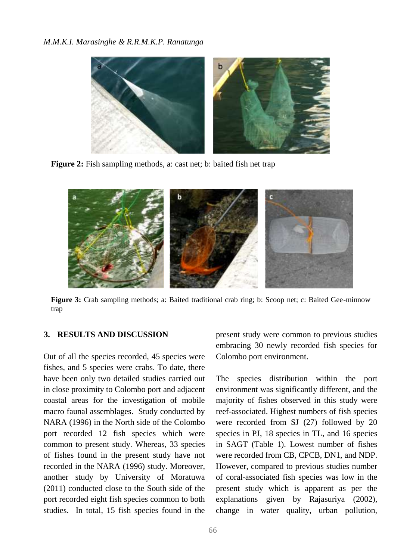

**Figure 2:** Fish sampling methods, a: cast net; b: baited fish net trap



**Figure 3:** Crab sampling methods; a: Baited traditional crab ring; b: Scoop net; c: Baited Gee-minnow trap

#### **3. RESULTS AND DISCUSSION**

Out of all the species recorded, 45 species were fishes, and 5 species were crabs. To date, there have been only two detailed studies carried out in close proximity to Colombo port and adjacent coastal areas for the investigation of mobile macro faunal assemblages. Study conducted by NARA (1996) in the North side of the Colombo port recorded 12 fish species which were common to present study. Whereas, 33 species of fishes found in the present study have not recorded in the NARA (1996) study. Moreover, another study by University of Moratuwa (2011) conducted close to the South side of the port recorded eight fish species common to both studies. In total, 15 fish species found in the present study were common to previous studies embracing 30 newly recorded fish species for Colombo port environment.

The species distribution within the port environment was significantly different, and the majority of fishes observed in this study were reef-associated. Highest numbers of fish species were recorded from SJ (27) followed by 20 species in PJ, 18 species in TL, and 16 species in SAGT (Table 1). Lowest number of fishes were recorded from CB, CPCB, DN1, and NDP. However, compared to previous studies number of coral-associated fish species was low in the present study which is apparent as per the explanations given by Rajasuriya (2002), change in water quality, urban pollution,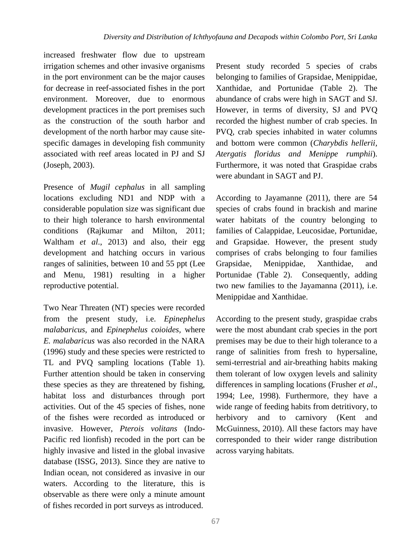increased freshwater flow due to upstream irrigation schemes and other invasive organisms in the port environment can be the major causes for decrease in reef-associated fishes in the port environment. Moreover, due to enormous development practices in the port premises such as the construction of the south harbor and development of the north harbor may cause sitespecific damages in developing fish community associated with reef areas located in PJ and SJ (Joseph, 2003).

Presence of *Mugil cephalus* in all sampling locations excluding ND1 and NDP with a considerable population size was significant due to their high tolerance to harsh environmental conditions (Rajkumar and Milton, 2011; Waltham *et al*., 2013) and also, their egg development and hatching occurs in various ranges of salinities, between 10 and 55 ppt (Lee and Menu, 1981) resulting in a higher reproductive potential.

Two Near Threaten (NT) species were recorded from the present study, i.e. *Epinephelus malabaricus,* and *Epinephelus coioides,* where *E. malabaricus* was also recorded in the NARA (1996) study and these species were restricted to TL and PVQ sampling locations (Table 1). Further attention should be taken in conserving these species as they are threatened by fishing, habitat loss and disturbances through port activities. Out of the 45 species of fishes, none of the fishes were recorded as introduced or invasive. However, *Pterois volitans* (Indo-Pacific red lionfish) recoded in the port can be highly invasive and listed in the global invasive database (ISSG, 2013). Since they are native to Indian ocean, not considered as invasive in our waters. According to the literature, this is observable as there were only a minute amount of fishes recorded in port surveys as introduced.

Present study recorded 5 species of crabs belonging to families of Grapsidae, Menippidae, Xanthidae, and Portunidae (Table 2). The abundance of crabs were high in SAGT and SJ. However, in terms of diversity, SJ and PVQ recorded the highest number of crab species. In PVQ, crab species inhabited in water columns and bottom were common (*Charybdis hellerii, Atergatis floridus and Menippe rumphii*). Furthermore, it was noted that Graspidae crabs were abundant in SAGT and PJ.

According to Jayamanne (2011), there are 54 species of crabs found in brackish and marine water habitats of the country belonging to families of Calappidae, Leucosidae, Portunidae, and Grapsidae. However, the present study comprises of crabs belonging to four families Grapsidae, Menippidae, Xanthidae, and Portunidae (Table 2). Consequently, adding two new families to the Jayamanna (2011), i.e. Menippidae and Xanthidae.

According to the present study, graspidae crabs were the most abundant crab species in the port premises may be due to their high tolerance to a range of salinities from fresh to hypersaline, semi-terrestrial and air-breathing habits making them tolerant of low oxygen levels and salinity differences in sampling locations (Frusher *et al*., 1994; Lee, 1998). Furthermore, they have a wide range of feeding habits from detritivory, to herbivory and to carnivory (Kent and McGuinness, 2010). All these factors may have corresponded to their wider range distribution across varying habitats.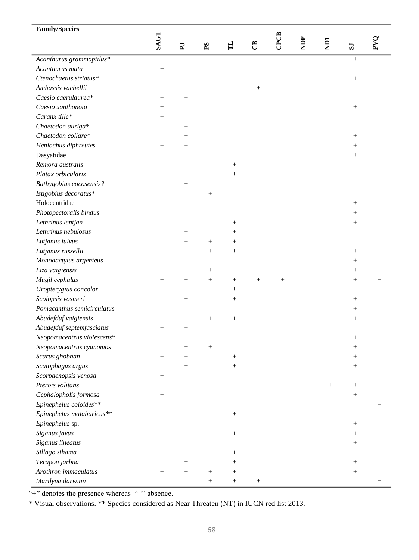| <b>Family/Species</b>                     |                   |                    |                 |                  |                 |                 |            |   |                    |                    |
|-------------------------------------------|-------------------|--------------------|-----------------|------------------|-----------------|-----------------|------------|---|--------------------|--------------------|
|                                           | SAGT              | $\mathbf{F}$       | $\mathbf{S}$    | $\mathbf{H}$     | පී              | CPCB            | <b>ACK</b> | E | $\mathbf{S}$       | PVQ                |
|                                           |                   |                    |                 |                  |                 |                 |            |   |                    |                    |
| Acanthurus grammoptilus*                  |                   |                    |                 |                  |                 |                 |            |   | $+$                |                    |
| Acanthurus mata                           | $\qquad \qquad +$ |                    |                 |                  |                 |                 |            |   |                    |                    |
| Ctenochaetus striatus*                    |                   |                    |                 |                  |                 |                 |            |   | $\! + \!\!\!\!$    |                    |
| Ambassis vachellii                        |                   |                    |                 |                  | $\! + \!\!\!\!$ |                 |            |   |                    |                    |
| Caesio caerulaurea*                       | $\! + \!\!\!\!$   | $\! + \!\!\!\!$    |                 |                  |                 |                 |            |   |                    |                    |
| Caesio xanthonota                         | $^{+}$            |                    |                 |                  |                 |                 |            |   | $\! + \!\!\!\!$    |                    |
| Caranx tille*                             | $\! + \!\!\!\!$   |                    |                 |                  |                 |                 |            |   |                    |                    |
| Chaetodon auriga*                         |                   | $\! + \!\!\!\!$    |                 |                  |                 |                 |            |   |                    |                    |
| Chaetodon collare*                        |                   | $^{+}$             |                 |                  |                 |                 |            |   | $^{+}$             |                    |
| Heniochus diphreutes                      | $\! + \!\!\!\!$   | $^{+}$             |                 |                  |                 |                 |            |   | $\! + \!\!\!\!$    |                    |
| Dasyatidae                                |                   |                    |                 |                  |                 |                 |            |   | $+$                |                    |
| Remora australis                          |                   |                    |                 | $\! + \!\!\!\!$  |                 |                 |            |   |                    |                    |
| Platax orbicularis                        |                   |                    |                 |                  |                 |                 |            |   |                    | $^{+}$             |
| Bathygobius cocosensis?                   |                   | $^{+}$             |                 |                  |                 |                 |            |   |                    |                    |
| Istigobius decoratus*                     |                   |                    | $^{+}$          |                  |                 |                 |            |   |                    |                    |
| Holocentridae                             |                   |                    |                 |                  |                 |                 |            |   | $^{+}$             |                    |
| Photopectoralis bindus                    |                   |                    |                 |                  |                 |                 |            |   | $^{+}$             |                    |
| Lethrinus lentjan                         |                   |                    |                 | $^{+}$           |                 |                 |            |   | $\! + \!\!\!\!$    |                    |
| Lethrinus nebulosus                       |                   | $\! + \!\!\!\!$    |                 | $^{+}$           |                 |                 |            |   |                    |                    |
| Lutjanus fulvus                           |                   | $\! + \!\!\!\!$    | $\! +$          | $^{+}$           |                 |                 |            |   |                    |                    |
| Lutjanus russellii                        | $^{+}$            | $^{+}$             | $\! + \!\!\!\!$ |                  |                 |                 |            |   | $\! + \!\!\!\!$    |                    |
| Monodactylus argenteus                    |                   |                    |                 |                  |                 |                 |            |   | $\! + \!\!\!\!$    |                    |
| Liza vaigiensis                           | $^{+}$            | $^{+}$             | $\! + \!\!\!\!$ |                  |                 |                 |            |   | $+$                |                    |
| Mugil cephalus                            | $\! + \!\!\!\!$   | $^{+}$             | $^{+}$          | $^{+}$           | $^{+}$          | $\! + \!\!\!\!$ |            |   | $\! + \!\!\!\!$    | $\hspace{0.1mm} +$ |
| Uropterygius concolor                     | $\! + \!\!\!\!$   |                    |                 |                  |                 |                 |            |   |                    |                    |
| Scolopsis vosmeri                         |                   | $\! + \!\!\!\!$    |                 | $^{+}$           |                 |                 |            |   | $^{+}$             |                    |
| Pomacanthus semicirculatus                |                   |                    |                 |                  |                 |                 |            |   | $\! + \!\!\!\!$    |                    |
| Abudefduf vaigiensis                      | $\! + \!\!\!\!$   | $\! + \!\!\!\!$    |                 |                  |                 |                 |            |   | $\! + \!\!\!\!$    | $\! + \!\!\!\!$    |
| Abudefduf septemfasciatus                 | $+$               | $^{+}$             |                 |                  |                 |                 |            |   |                    |                    |
| Neopomacentrus violescens*                |                   | $^{+}$             |                 |                  |                 |                 |            |   | $+$                |                    |
| Neopomacentrus cyanomos                   |                   | $^{+}$             |                 |                  |                 |                 |            |   | $^{+}$             |                    |
| Scarus ghobban                            | $\! + \!\!\!\!$   | $^{+}$             |                 | $\! + \!\!\!\!$  |                 |                 |            |   | $^{+}$             |                    |
|                                           |                   |                    |                 |                  |                 |                 |            |   |                    |                    |
| Scatophagus argus<br>Scorpaenopsis venosa |                   | $^+$               |                 | $^{+}$           |                 |                 |            |   | $^{+}$             |                    |
| Pterois volitans                          | $\! + \!\!\!\!$   |                    |                 |                  |                 |                 |            |   | $\hspace{0.1mm} +$ |                    |
| Cephalopholis formosa                     |                   |                    |                 |                  |                 |                 |            |   | $^{+}$             |                    |
| Epinephelus coioides**                    | $\! + \!\!\!\!$   |                    |                 |                  |                 |                 |            |   |                    |                    |
|                                           |                   |                    |                 |                  |                 |                 |            |   |                    | $\! + \!\!\!\!$    |
| Epinephelus malabaricus**                 |                   |                    |                 | $\boldsymbol{+}$ |                 |                 |            |   |                    |                    |
| Epinephelus sp.                           |                   |                    |                 |                  |                 |                 |            |   | $\! + \!\!\!\!$    |                    |
| Siganus javus                             | $^{+}$            | $^{+}$             |                 | $\! + \!\!\!\!$  |                 |                 |            |   | $^{+}$             |                    |
| Siganus lineatus                          |                   |                    |                 |                  |                 |                 |            |   | $^{+}$             |                    |
| Sillago sihama                            |                   |                    |                 | $^{+}$           |                 |                 |            |   |                    |                    |
| Terapon jarbua                            |                   | $\hspace{0.1mm} +$ |                 | $^+$             |                 |                 |            |   | $^{+}$             |                    |
| Arothron immaculatus                      | $\! + \!\!\!\!$   | $^{+}$             | $^{+}$          | $^{+}$           |                 |                 |            |   | $\! + \!\!\!\!$    |                    |
| Marilyna darwinii                         |                   |                    | $^{+}$          | $^{+}$           | $\! + \!\!\!\!$ |                 |            |   |                    | $\hspace{0.1mm} +$ |

"<sup>+</sup>" denotes the presence whereas "<sup>-</sup>" absence.

\* Visual observations. \*\* Species considered as Near Threaten (NT) in IUCN red list 2013.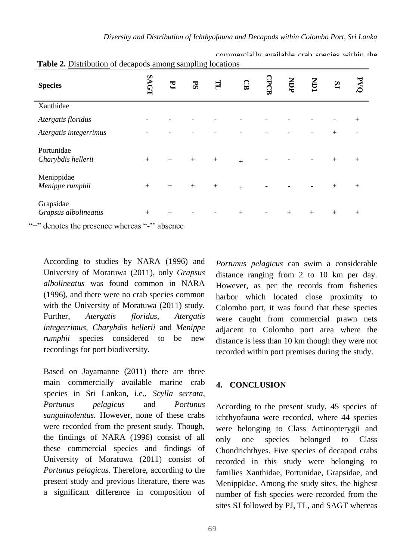| <b>Species</b>                    | LOV | $\mathbf{E}$ | PS  | H      | ទ្ធ       | CPCB | NDP | Š   | SJ     | వ      |
|-----------------------------------|-----|--------------|-----|--------|-----------|------|-----|-----|--------|--------|
| Xanthidae                         |     |              |     |        |           |      |     |     |        |        |
| Atergatis floridus                |     |              |     |        |           |      |     |     |        | $^{+}$ |
| Atergatis integerrimus            |     |              |     |        |           |      |     |     | $^{+}$ |        |
| Portunidae<br>Charybdis hellerii  | $+$ | $+$          | $+$ | $^{+}$ | $\ddot{}$ |      |     |     | $^{+}$ | $^{+}$ |
| Menippidae<br>Menippe rumphii     | $+$ | $^{+}$       | $+$ | $^{+}$ | $\ddot{}$ |      |     |     | $^{+}$ | $^{+}$ |
| Grapsidae<br>Grapsus albolineatus | $+$ | $+$          |     |        | $^{+}$    |      | $+$ | $+$ | $+$    | $^{+}$ |

**Table 2.** Distribution of decapods among sampling locations

"+" denotes the presence whereas "-'' absence

According to studies by NARA (1996) and University of Moratuwa (2011), only *Grapsus albolineatus* was found common in NARA (1996), and there were no crab species common with the University of Moratuwa (2011) study. Further, *Atergatis floridus, Atergatis integerrimus, Charybdis hellerii* and *Menippe rumphii* species considered to be new recordings for port biodiversity.

Based on Jayamanne (2011) there are three main commercially available marine crab species in Sri Lankan, i.e., *Scylla serrata, Portunus pelagicus* and *Portunus sanguinolentus.* However, none of these crabs were recorded from the present study. Though, the findings of NARA (1996) consist of all these commercial species and findings of University of Moratuwa (2011) consist of *Portunus pelagicus*. Therefore, according to the present study and previous literature, there was a significant difference in composition of *Portunus pelagicus* can swim a considerable distance ranging from 2 to 10 km per day. However, as per the records from fisheries harbor which located close proximity to Colombo port, it was found that these species were caught from commercial prawn nets adjacent to Colombo port area where the distance is less than 10 km though they were not recorded within port premises during the study.

commercially available crab species within the

### **4. CONCLUSION**

According to the present study, 45 species of ichthyofauna were recorded, where 44 species were belonging to Class Actinopterygii and only one species belonged to Class Chondrichthyes. Five species of decapod crabs recorded in this study were belonging to families Xanthidae, Portunidae, Grapsidae, and Menippidae. Among the study sites, the highest number of fish species were recorded from the sites SJ followed by PJ, TL, and SAGT whereas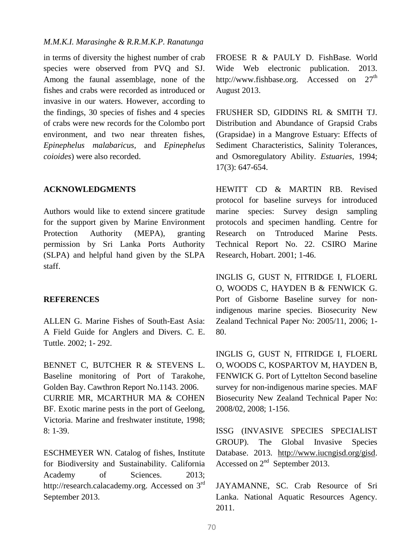# *M.M.K.I. Marasinghe & R.R.M.K.P. Ranatunga*

in terms of diversity the highest number of crab species were observed from PVQ and SJ. Among the faunal assemblage, none of the fishes and crabs were recorded as introduced or invasive in our waters. However, according to the findings, 30 species of fishes and 4 species of crabs were new records for the Colombo port environment, and two near threaten fishes, *Epinephelus malabaricus,* and *Epinephelus coioides*) were also recorded.

#### **ACKNOWLEDGMENTS**

Authors would like to extend sincere gratitude for the support given by Marine Environment Protection Authority (MEPA), granting permission by Sri Lanka Ports Authority (SLPA) and helpful hand given by the SLPA staff.

#### **REFERENCES**

ALLEN G. Marine Fishes of South-East Asia: A Field Guide for Anglers and Divers. C. E. Tuttle. 2002; 1- 292.

BENNET C, BUTCHER R & STEVENS L. Baseline monitoring of Port of Tarakohe, Golden Bay. Cawthron Report No.1143. 2006. CURRIE MR, MCARTHUR MA & COHEN BF. Exotic marine pests in the port of Geelong, Victoria. Marine and freshwater institute, 1998; 8: 1-39.

ESCHMEYER WN. Catalog of fishes, Institute for Biodiversity and Sustainability. California Academy of Sciences. 2013: http://research.calacademy.org. Accessed on 3<sup>rd</sup> September 2013.

FROESE R & PAULY D. FishBase. World Wide Web electronic publication. 2013. http://www.fishbase.org. Accessed on  $27<sup>th</sup>$ August 2013.

FRUSHER SD, GIDDINS RL & SMITH TJ. Distribution and Abundance of Grapsid Crabs (Grapsidae) in a Mangrove Estuary: Effects of Sediment Characteristics, Salinity Tolerances, and Osmoregulatory Ability. *Estuaries*, 1994; 17(3): 647-654.

HEWITT CD & MARTIN RB. Revised protocol for baseline surveys for introduced marine species: Survey design sampling protocols and specimen handling. Centre for Research on Tntroduced Marine Pests. Technical Report No. 22. CSIRO Marine Research, Hobart. 2001; 1-46.

INGLIS G, GUST N, FITRIDGE I, FLOERL O, WOODS C, HAYDEN B & FENWICK G. Port of Gisborne Baseline survey for nonindigenous marine species. Biosecurity New Zealand Technical Paper No: 2005/11, 2006; 1- 80.

INGLIS G, GUST N, FITRIDGE I, FLOERL O, WOODS C, KOSPARTOV M, HAYDEN B, FENWICK G. Port of Lyttelton Second baseline survey for non-indigenous marine species. MAF Biosecurity New Zealand Technical Paper No: 2008/02, 2008; 1-156.

ISSG (INVASIVE SPECIES SPECIALIST GROUP). The Global Invasive Species Database. 2013. [http://www.iucngisd.org/gisd.](http://www.iucngisd.org/gisd) Accessed on 2<sup>nd</sup> September 2013.

JAYAMANNE, SC. Crab Resource of Sri Lanka. National Aquatic Resources Agency. 2011.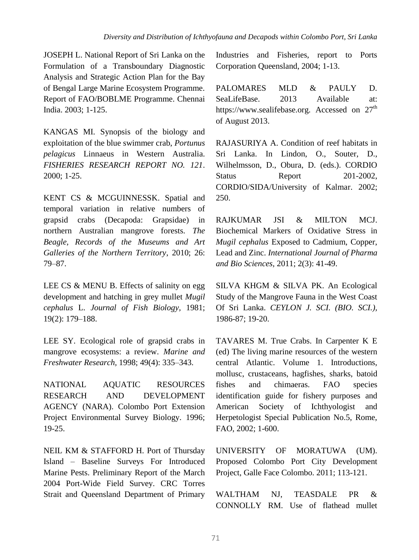JOSEPH L. National Report of Sri Lanka on the Formulation of a Transboundary Diagnostic Analysis and Strategic Action Plan for the Bay of Bengal Large Marine Ecosystem Programme. Report of FAO/BOBLME Programme. Chennai India. 2003; 1-125.

KANGAS MI. Synopsis of the biology and exploitation of the blue swimmer crab, *Portunus pelagicus* Linnaeus in Western Australia. *FISHERIES RESEARCH REPORT NO. 121*. 2000; 1-25.

KENT CS & MCGUINNESSK. Spatial and temporal variation in relative numbers of grapsid crabs (Decapoda: Grapsidae) in northern Australian mangrove forests. *The Beagle, Records of the Museums and Art Galleries of the Northern Territory*, 2010; 26: 79–87.

LEE CS & MENU B. Effects of salinity on egg development and hatching in grey mullet *Mugil cephalus* L. *Journal of Fish Biology,* 1981; 19(2): 179–188.

LEE SY. Ecological role of grapsid crabs in mangrove ecosystems: a review. *Marine and Freshwater Research,* 1998; 49(4): 335–343.

NATIONAL AQUATIC RESOURCES RESEARCH AND DEVELOPMENT AGENCY (NARA). Colombo Port Extension Project Environmental Survey Biology. 1996; 19-25.

NEIL KM & STAFFORD H. Port of Thursday Island – Baseline Surveys For Introduced Marine Pests. Preliminary Report of the March 2004 Port-Wide Field Survey. CRC Torres Strait and Queensland Department of Primary

Industries and Fisheries, report to Ports Corporation Queensland, 2004; 1-13.

PALOMARES MLD & PAULY D. SeaLifeBase. 2013 Available at: https://www.sealifebase.org. Accessed on 27<sup>th</sup> of August 2013.

RAJASURIYA A. Condition of reef habitats in Sri Lanka. In Lindon, O., Souter, D., Wilhelmsson, D., Obura, D. (eds.). CORDIO Status Report 201-2002, CORDIO/SIDA/University of Kalmar. 2002; 250.

RAJKUMAR JSI & MILTON MCJ. Biochemical Markers of Oxidative Stress in *Mugil cephalus* Exposed to Cadmium, Copper, Lead and Zinc. *International Journal of Pharma and Bio Sciences,* 2011; 2(3): 41-49.

SILVA KHGM & SILVA PK. An Ecological Study of the Mangrove Fauna in the West Coast Of Sri Lanka. *CEYLON J. SCI. (BIO. SCI.),* 1986-87; 19-20.

TAVARES M. True Crabs. In Carpenter K E (ed) The living marine resources of the western central Atlantic. Volume 1. Introductions, mollusc, crustaceans, hagfishes, sharks, batoid fishes and chimaeras. FAO species identification guide for fishery purposes and American Society of Ichthyologist and Herpetologist Special Publication No.5, Rome, FAO, 2002; 1-600.

UNIVERSITY OF MORATUWA (UM). Proposed Colombo Port City Development Project, Galle Face Colombo. 2011; 113-121.

WALTHAM NJ, TEASDALE PR & CONNOLLY RM. Use of flathead mullet